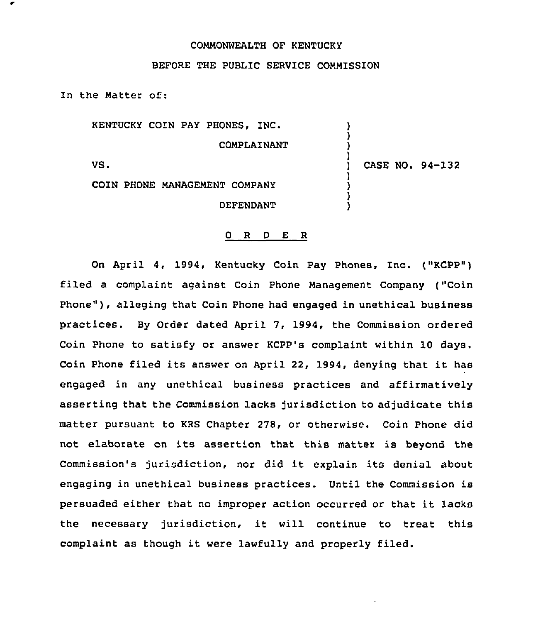## COMMONWEALTH OF KENTUCKY

## BEFORE THE PUBLIC SERVICE COMMISSION

In the Matter of:

KENTUCKY COIN PAY PHONES, INC.

COMPLAINANT

VS.

) CASE NO. 94-132

) ) ) )

) ) ) )

COIN PHONE MANAGEMENT COMPANY DEFENDANT

## 0 R <sup>D</sup> E R

On April 4, 1994, Kentucky Coin Pay Phones, Inc. ("KCPP") filed a complaint against Coin Phone Management Company ("Coin Phone"), alleging that Coin Phone had engaged in unethical business practices. By Order dated April 7, 1994, the Commission ordered Coin Phone to satisfy or answer KCPP's complaint within 10 days. Coin Phone filed its answer on April 22, 1994, denying that it has engaged in any unethical business practices and affirmatively asserting that the Commission lacks jurisdiction to adjudicate this matter pursuant to KRS Chapter 278, or otherwise. Coin Phone did not elaborate on its assertion that this matter is beyond the Commission's jurisdiction, nor did it explain its denial about engaging in unethical business practices. Until the Commission is persuaded either that no improper action occurred or that it lacks the necessary jurisdiction, it will continue to treat this complaint as though it were lawfully and properly filed.